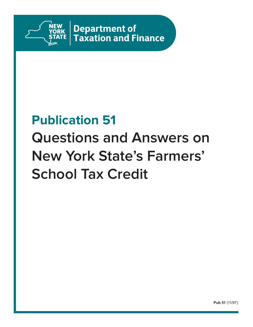

Department of **Taxation and Finance** 

# **Publication 51 Questions and Answers on New York State's Farmers' School Tax Credit**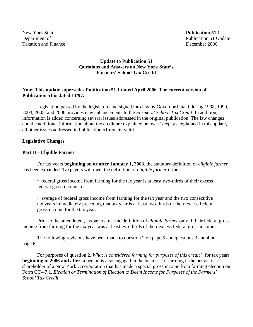New York State **Publication 51.1** Taxation and Finance December 2006

#### **Update to Publication 51 Questions and Answers on New York State's Farmers' School Tax Credit**

#### **Note: This update supersedes Publication 51.1 dated April 2006. The current version of Publication 51 is dated 11/97.**

 Legislation passed by the legislature and signed into law by Governor Pataki during 1998, 1999, 2003, 2005, and 2006 provides new enhancements to the *Farmers' School Tax Credit*. In addition, information is added concerning several issues addressed in the original publication. The law changes and the additional information about the credit are explained below. Except as explained in this update, all other issues addressed in Publication 51 remain valid.

#### **Legislative Changes**

#### **Part II - Eligible Farmer**

 For tax years **beginning on or after January 1, 2003**, the statutory definition of *eligible farmer* has been expanded. Taxpayers will meet the definition of *eligible farmer* if their:

• federal gross income from farming for the tax year is at least two-thirds of their excess federal gross income; or

• average of federal gross income from farming for the tax year and the two consecutive tax years immediately preceding that tax year is at least two-thirds of their excess federal gross income for the tax year.

 Prior to the amendment, taxpayers met the definition of *eligible farmer* only if their federal gross income from farming for the tax year was at least two-thirds of their excess federal gross income.

 The following revisions have been made to question 2 on page 5 and questions 3 and 4 on page 6.

 For purposes of question 2, *What is considered farming for purposes of this credit?*, for tax years **beginning in 2006 and after**, a person is also engaged in the business of farming if the person is a shareholder of a New York C corporation that has made a special gross income from farming election on Form CT-47.1, *Election or Termination of Election to Deem Income for Purposes of the Farmers' School Tax Credit*.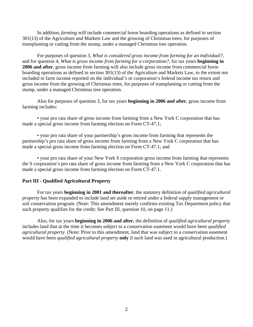In addition, *farming* will include commercial horse boarding operations as defined in section 301(13) of the Agriculture and Markets Law and the growing of Christmas trees, for purposes of transplanting or cutting from the stump, under a managed Christmas tree operation.

 For purposes of question 3, *What is considered gross income from farming for an individual?,* and for question 4, *What is gross income from farming for a corporation?*, for tax years **beginning in 2006 and after**, gross income from farming will also include gross income from commercial horse boarding operations as defined in section 301(13) of the Agriculture and Markets Law, to the extent not included in farm income reported on the individual's or corporation's federal income tax return and gross income from the growing of Christmas trees, for purposes of transplanting or cutting from the stump, under a managed Christmas tree operation.

 Also for purposes of question 3, for tax years **beginning in 2006 and after**, gross income from farming includes:

 • your pro rata share of gross income from farming from a New York C corporation that has made a special gross income from farming election on Form CT-47.1;

 • your pro rata share of your partnership's gross income from farming that represents the partnership's pro rata share of gross income from farming from a New York C corporation that has made a special gross income from farming election on Form CT-47.1; and

 • your pro rata share of your New York S corporation gross income from farming that represents the S corporation's pro rata share of gross income from farming from a New York C corporation that has made a special gross income from farming election on Form CT-47.1.

#### **Part III - Qualified Agricultural Property**

 For tax years **beginning in 2001 and thereafter**, the statutory definition of *qualified agricultural property* has been expanded to include land set aside or retired under a federal supply management or soil conservation program. (Note: This amendment merely confirms existing Tax Department policy that such property qualifies for the credit: See Part III, question 10, on page 11.)

 Also, for tax years **beginning in 2006 and after**, the definition of *qualified agricultural property* includes land that at the time it becomes subject to a conservation easement would have been *qualified agricultural property*. (Note: Prior to this amendment, land that was subject to a conservation easement would have been *qualified agricultural property* **only** if such land was used in agricultural production.)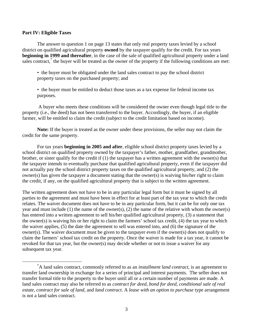#### **Part IV: Eligible Taxes**

 The answer to question 1 on page 13 states that only real property taxes levied by a school district on qualified agricultural property **owned** by the taxpayer qualify for the credit. For tax years **beginning in 1999 and thereafter**, in the case of the sale of qualified agricultural property under a land sales contract,<sup>\*</sup> the buyer will be treated as the owner of the property if the following conditions are met:

• the buyer must be obligated under the land sales contract to pay the school district property taxes on the purchased property; and

• the buyer must be entitled to deduct those taxes as a tax expense for federal income tax purposes.

 A buyer who meets these conditions will be considered the owner even though legal title to the property (i.e., the deed) has not been transferred to the buyer. Accordingly, the buyer, if an eligible farmer, will be entitled to claim the credit (subject to the credit limitation based on income).

**Note:** If the buyer is treated as the owner under these provisions, the seller may not claim the credit for the same property.

 For tax years **beginning in 2005 and after**, eligible school district property taxes levied by a school district on qualified property owned by the taxpayer's father, mother, grandfather, grandmother, brother, or sister qualify for the credit if (1) the taxpayer has a written agreement with the owner(s) that the taxpayer intends to eventually purchase that qualified agricultural property, even if the taxpayer did not actually pay the school district property taxes on the qualified agricultural property, and (2) the owner(s) has given the taxpayer a document stating that the owner(s) is waiving his/her right to claim the credit, if any, on the qualified agricultural property that is subject to the written agreement.

The written agreement does not have to be in any particular legal form but it must be signed by all parties to the agreement and must have been in effect for at least part of the tax year to which the credit relates. The waiver document does not have to be in any particular form, but it can be for only one tax year and must include (1) the name of the owner(s), (2) the name of the relative with whom the owner(s) has entered into a written agreement to sell his/her qualified agricultural property, (3) a statement that the owner(s) is waiving his or her right to claim the farmers' school tax credit, (4) the tax year to which the waiver applies, (5) the date the agreement to sell was entered into, and (6) the signature of the owner(s). The waiver document must be given to the taxpayer even if the owner(s) does not qualify to claim the farmers' school tax credit on the property. Once the waiver is made for a tax year, it cannot be revoked for that tax year, but the owner(s) may decide whether or not to issue a waiver for any subsequent tax year.

 <sup>\*</sup> A land sales contract, commonly referred to as an *installment land contract*, is an agreement to transfer land ownership in exchange for a series of principal and interest payments. The seller does not transfer formal title to the property to the buyer until all or a certain number of payments are made. A land sales contract may also be referred to as *contract for deed*, *bond for deed*, *conditional sale of real estate*, *contract for sale of land*, and *land contract*. A *lease with an option to purchase* type arrangement is not a land sales contract.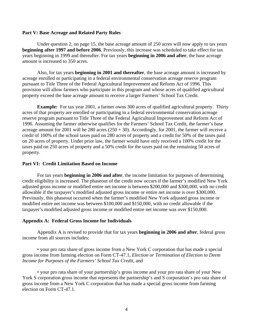#### **Part V: Base Acreage and Related Party Rules**

 Under question 2, on page 15, the base acreage amount of 250 acres will now apply to tax years **beginning after 1997 and before 2006**. Previously, this increase was scheduled to take effect for tax years beginning in 1999 and thereafter. For tax years **beginning in 2006 and after**, the base acreage amount is increased to 350 acres.

 Also, for tax years **beginning in 2001 and thereafter**, the base acreage amount is increased by acreage enrolled or participating in a federal environmental conservation acreage reserve program pursuant to Title Three of the Federal Agricultural Improvement and Reform Act of 1996. This provision will allow farmers who participate in this program and whose acres of qualified agricultural property exceed the base acreage amount to receive a larger Farmers' School Tax Credit.

**Example:** For tax year 2001, a farmer owns 300 acres of qualified agricultural property. Thirty acres of that property are enrolled or participating in a federal environmental conservation acreage reserve program pursuant to Title Three of the Federal Agricultural Improvement and Reform Act of 1996. Assuming the farmer otherwise qualifies for the Farmers' School Tax Credit, the farmer's base acreage amount for 2001 will be 280 acres  $(250 + 30)$ . Accordingly, for 2001, the farmer will receive a credit of 100% of the school taxes paid on 280 acres of property and a credit for 50% of the taxes paid on 20 acres of property. Under prior law, the farmer would have only received a 100% credit for the taxes paid on 250 acres of property and a 50% credit for the taxes paid on the remaining 50 acres of property.

#### **Part VI: Credit Limitation Based on Income**

For tax years **beginning in 2006 and after**, the income limitation for purposes of determining credit eligibility is increased. The phaseout of the credit now occurs if the farmer's modified New York adjusted gross income or modified entire net income is between \$200,000 and \$300,000, with no credit allowable if the taxpayer's modified adjusted gross income or entire net income is over \$300,000. Previously, this phaseout occurred when the farmer's modified New York adjusted gross income or modified entire net income was between \$100,000 and \$150,000, with no credit allowable if the taxpayer's modified adjusted gross income or modified entire net income was over \$150,000.

#### **Appendix A: Federal Gross Income for Individuals**

Appendix A is revised to provide that for tax years **beginning in 2006 and after**, federal gross income from all sources includes:

 • your pro rata share of gross income from a New York C corporation that has made a special gross income from farming election on Form CT-47.1, *Election or Termination of Election to Deem Income for Purposes of the Farmers' School Tax Credit*, and

 • your pro rata share of your partnership's gross income and your pro rata share of your New York S corporation gross income that represents the partnership's and S corporation's pro rata share of gross income from a New York C corporation that has made a special gross income from farming election on Form CT-47.1.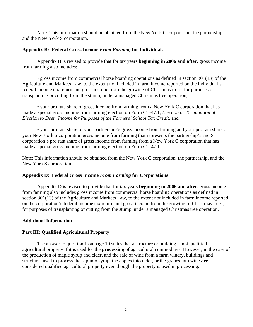Note: This information should be obtained from the New York C corporation, the partnership, and the New York S corporation.

#### **Appendix B: Federal Gross Income** *From Farming* **for Individuals**

Appendix B is revised to provide that for tax years **beginning in 2006 and after**, gross income from farming also includes:

 • gross income from commercial horse boarding operations as defined in section 301(13) of the Agriculture and Markets Law, to the extent not included in farm income reported on the individual's federal income tax return and gross income from the growing of Christmas trees, for purposes of transplanting or cutting from the stump, under a managed Christmas tree operation,

 • your pro rata share of gross income from farming from a New York C corporation that has made a special gross income from farming election on Form CT-47.1, *Election or Termination of Election to Deem Income for Purposes of the Farmers' School Tax Credit*, and

 • your pro rata share of your partnership's gross income from farming and your pro rata share of your New York S corporation gross income from farming that represents the partnership's and S corporation's pro rata share of gross income from farming from a New York C corporation that has made a special gross income from farming election on Form CT-47.1.

Note: This information should be obtained from the New York C corporation, the partnership, and the New York S corporation.

#### **Appendix D: Federal Gross Income** *From Farming* **for Corporations**

Appendix D is revised to provide that for tax years **beginning in 2006 and after**, gross income from farming also includes gross income from commercial horse boarding operations as defined in section 301(13) of the Agriculture and Markets Law, to the extent not included in farm income reported on the corporation's federal income tax return and gross income from the growing of Christmas trees, for purposes of transplanting or cutting from the stump, under a managed Christmas tree operation.

#### **Additional Information**

#### **Part III: Qualified Agricultural Property**

 The answer to question 1 on page 10 states that a structure or building is not qualified agricultural property if it is used for the **processing** of agricultural commodities. However, in the case of the production of maple syrup and cider, and the sale of wine from a farm winery, buildings and structures used to process the sap into syrup, the apples into cider, or the grapes into wine **are** considered qualified agricultural property even though the property is used in processing.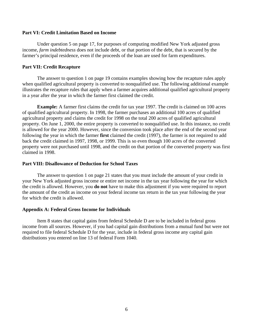#### **Part VI: Credit Limitation Based on Income**

 Under question 5 on page 17, for purposes of computing modified New York adjusted gross income, *farm indebtedness* does not include debt, or that portion of the debt, that is secured by the farmer's principal residence, even if the proceeds of the loan are used for farm expenditures.

#### **Part VII: Credit Recapture**

 The answer to question 1 on page 19 contains examples showing how the recapture rules apply when qualified agricultural property is converted to nonqualified use. The following additional example illustrates the recapture rules that apply when a farmer acquires additional qualified agricultural property in a year after the year in which the farmer first claimed the credit.

**Example:** A farmer first claims the credit for tax year 1997. The credit is claimed on 100 acres of qualified agricultural property. In 1998, the farmer purchases an additional 100 acres of qualified agricultural property and claims the credit for 1998 on the total 200 acres of qualified agricultural property. On June 1, 2000, the entire property is converted to nonqualified use. In this instance, no credit is allowed for the year 2000. However, since the conversion took place after the end of the second year following the year in which the farmer **first** claimed the credit (1997), the farmer is not required to add back the credit claimed in 1997, 1998, or 1999. This is so even though 100 acres of the converted property were not purchased until 1998, and the credit on that portion of the converted property was first claimed in 1998.

#### **Part VIII: Disallowance of Deduction for School Taxes**

 The answer to question 1 on page 21 states that you must include the amount of your credit in your New York adjusted gross income or entire net income in the tax year following the year for which the credit is allowed. However, you **do not** have to make this adjustment if you were required to report the amount of the credit as income on your federal income tax return in the tax year following the year for which the credit is allowed.

#### **Appendix A: Federal Gross Income for Individuals**

 Item 8 states that capital gains from federal Schedule D are to be included in federal gross income from all sources. However, if you had capital gain distributions from a mutual fund but were not required to file federal Schedule D for the year, include in federal gross income any capital gain distributions you entered on line 13 of federal Form 1040.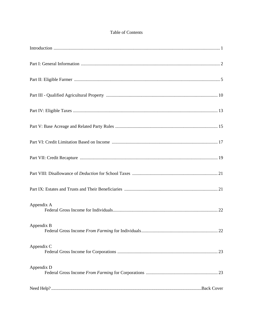#### Table of Contents

| Appendix A |  |
|------------|--|
| Appendix B |  |
| Appendix C |  |
| Appendix D |  |
|            |  |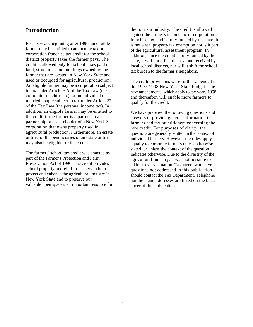## **Introduction**

For tax years beginning after 1996, an eligible farmer may be entitled to an income tax or corporation franchise tax credit for the school district property taxes the farmer pays. The credit is allowed only for school taxes paid on land, structures, and buildings owned by the farmer that are located in New York State and used or occupied for agricultural production. An eligible farmer may be a corporation subject to tax under Article 9-A of the Tax Law (the corporate franchise tax), or an individual or married couple subject to tax under Article 22 of the Tax Law (the personal income tax). In addition, an eligible farmer may be entitled to the credit if the farmer is a partner in a partnership or a shareholder of a New York S corporation that owns property used in agricultural production. Furthermore, an estate or trust or the beneficiaries of an estate or trust may also be eligible for the credit.

The farmers' school tax credit was enacted as part of the Farmer's Protection and Farm Preservation Act of 1996. The credit provides school property tax relief to farmers to help protect and enhance the agricultural industry in New York State and to preserve our valuable open spaces, an important resource for the tourism industry. The credit is allowed against the farmer's income tax or corporation franchise tax, and is fully funded by the state. It is not a real property tax exemption nor is it part of the agricultural assessment program. In addition, since the credit is fully funded by the state, it will not affect the revenue received by local school districts, nor will it shift the school tax burden to the farmer's neighbors.

The credit provisions were further amended in the 1997-1998 New York State budget. The new amendments, which apply to tax years 1998 and thereafter, will enable more farmers to qualify for the credit.

We have prepared the following questions and answers to provide general information to farmers and tax practitioners concerning the new credit. For purposes of clarity, the questions are generally written in the context of individual farmers. However, the rules apply equally to corporate farmers unless otherwise stated, or unless the context of the question indicates otherwise. Due to the diversity of the agricultural industry, it was not possible to address every situation. Taxpayers who have questions not addressed in this publication should contact the Tax Department. Telephone numbers and addresses are listed on the back cover of this publication.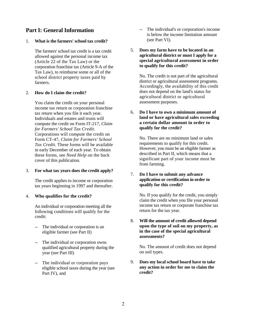## **Part I: General Information**

#### 1. **What is the farmers' school tax credit?**

The farmers' school tax credit is a tax credit allowed against the personal income tax (Article 22 of the Tax Law) or the corporation franchise tax (Article 9-A of the Tax Law), to reimburse some or all of the school district property taxes paid by farmers.

#### 2. **How do I claim the credit?**

You claim the credit on your personal income tax return or corporation franchise tax return when you file it each year. Individuals and estates and trusts will compute the credit on Form IT-217, *Claim for Farmers' School Tax Credit.*  Corporations will compute the credit on Form CT-47, *Claim for Farmers' School Tax Credit.* These forms will be available in early December of each year. To obtain these forms, see *Need Help* on the back cover of this publication.

#### 3. **For what tax years does the credit apply?**

The credit applies to income or corporation tax years beginning in 1997 and thereafter.

#### 4. **Who qualifies for the credit?**

An individual or corporation meeting all the following conditions will qualify for the credit:

- -- The individual or corporation is an eligible farmer (see Part II)
- -- The individual or corporation owns qualified agricultural property during the year (see Part III)
- -- The individual or corporation pays eligible school taxes during the year (see Part IV), and
- -- The individual's or corporation's income is below the income limitation amount (see Part VI).
- 5. **Does my farm have to be located in an agricultural district or must I apply for a special agricultural assessment in order to qualify for this credit?**

No. The credit is not part of the agricultural district or agricultural assessment programs. Accordingly, the availability of this credit does not depend on the land's status for agricultural district or agricultural assessment purposes.

#### 6. **Do I have to own a minimum amount of land or have agricultural sales exceeding a certain dollar amount in order to qualify for the credit?**

No. There are no minimum land or sales requirements to qualify for this credit. However, you must be an eligible farmer as described in Part II, which means that a significant part of your income must be from farming.

#### 7. **Do I have to submit any advance application or certification in order to qualify for this credit?**

No. If you qualify for the credit, you simply claim the credit when you file your personal income tax return or corporate franchise tax return for the tax year.

8. **Will the amount of credit allowed depend upon the type of soil on my property, as in the case of the special agricultural assessments?**

No. The amount of credit does not depend on soil types.

9. **Does my local school board have to take any action in order for me to claim the credit?**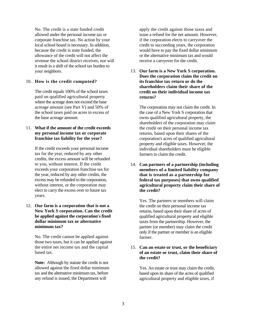No. The credit is a state funded credit allowed under the personal income tax or corporate franchise tax. No action by your local school board is necessary. In addition, because the credit is state funded, the allowance of the credit will not affect the revenue the school district receives, nor will it result in a shift of the school tax burden to your neighbors.

#### 10. **How is the credit computed?**

The credit equals 100% of the school taxes paid on qualified agricultural property where the acreage does not exceed the base acreage amount (see Part V) and 50% of the school taxes paid on acres in excess of the base acreage amount.

#### 11. **What if the amount of the credit exceeds my personal income tax or corporate franchise tax liability for the year?**

If the credit exceeds your personal income tax for the year, reduced by any other credits, the excess amount will be refunded to you, without interest. If the credit exceeds your corporation franchise tax for the year, reduced by any other credits, the excess may be refunded to the corporation, without interest, or the corporation may elect to carry the excess over to future tax years.

#### 12. **Our farm is a corporation that is not a New York S corporation. Can the credit be applied against the corporation's fixed dollar minimum tax or alternative minimum tax?**

No. The credit cannot be applied against those two taxes, but it can be applied against the entire net income tax and the capital based tax.

**Note:** Although by statute the credit is not allowed against the fixed dollar minimum tax and the alternative minimum tax, before any refund is issued, the Department will

apply the credit against those taxes and issue a refund for the net amount. However, if the corporation elects to carryover the credit to succeeding years, the corporation would have to pay the fixed dollar minimum or the alternative minimum tax and would receive a carryover for the credit.

13. **Our farm is a New York S corporation. Does the corporation claim the credit on its franchise tax return or do the shareholders claim their share of the credit on their individual income tax returns?** 

The corporation may not claim the credit. In the case of a New York S corporation that owns qualified agricultural property, the shareholders of the corporation may claim the credit on their personal income tax returns, based upon their shares of the corporation's acres of qualified agricultural property and eligible taxes. However, the individual shareholders must be eligible farmers to claim the credit.

14. **Can partners of a partnership (including members of a limited liability company that is treated as a partnership for federal tax purposes) that owns qualified agricultural property claim their share of the credit?** 

Yes. The partners or members will claim the credit on their personal income tax returns, based upon their share of acres of qualified agricultural property and eligible taxes from the partnership. However, the partner (or member) may claim the credit only if the partner or member is an eligible farmer.

#### 15. **Can an estate or trust, or the beneficiary of an estate or trust, claim their share of the credit?**

Yes. An estate or trust may claim the credit, based upon its share of the acres of qualified agricultural property and eligible taxes, if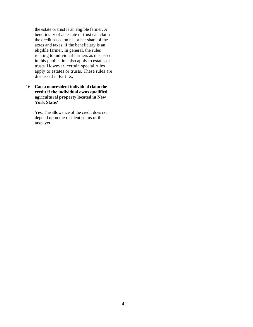the estate or trust is an eligible farmer. A beneficiary of an estate or trust can claim the credit based on his or her share of the acres and taxes, if the beneficiary is an eligible farmer. In general, the rules relating to individual farmers as discussed in this publication also apply to estates or trusts. However, certain special rules apply to estates or trusts. These rules are discussed in Part IX.

16. **Can a nonresident individual claim the credit if the individual owns qualified agricultural property located in New York State?** 

> Yes. The allowance of the credit does not depend upon the resident status of the taxpayer.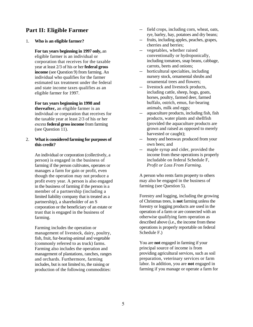## **Part II: Eligible Farmer**

1. **Who is an eligible farmer?** 

**For tax years beginning in 1997 only,** an eligible farmer is an individual or corporation that receives for the taxable year at least 2/3 of his or her **federal gross income** (see Question 9) from farming. An individual who qualifies for the farmer estimated tax treatment under the federal and state income taxes qualifies as an eligible farmer for 1997.

**For tax years beginning in 1998 and thereafter,** an eligible farmer is an individual or corporation that receives for the taxable year at least 2/3 of his or her *excess* **federal gross income** from farming (see Question 11).

#### 2. **What is considered farming for purposes of this credit?**

An individual or corporation (collectively, a person) is engaged in the business of farming if the person cultivates, operates or manages a farm for gain or profit, even though the operation may not produce a profit every year. A person is also engaged in the business of farming if the person is a member of a partnership (including a limited liability company that is treated as a partnership), a shareholder of an S corporation or the beneficiary of an estate or trust that is engaged in the business of farming.

Farming includes the operation or management of livestock, dairy, poultry, fish, fruit, fur-bearing-animal and vegetable (commonly referred to as truck) farms. Farming also includes the operation and management of plantations, ranches, ranges and orchards. Furthermore, farming includes, but is not limited to, the raising or production of the following commodities:

- -- field crops, including corn, wheat, oats, rye, barley, hay, potatoes and dry beans;
- -- fruits, including apples, peaches, grapes, cherries and berries;
- -- vegetables, whether raised conventionally or hydroponically, including tomatoes, snap beans, cabbage, carrots, beets and onions;
- -- horticultural specialties, including nursery stock, ornamental shrubs and ornamental trees and flowers;
- -- livestock and livestock products, including cattle, sheep, hogs, goats, horses, poultry, farmed deer, farmed buffalo, ostrich, emus, fur-bearing animals, milk and eggs;
- -- aquaculture products, including fish, fish products, water plants and shellfish (provided the aquaculture products are grown and raised as opposed to merely harvested or caught);
- -- honey and beeswax produced from your own bees; and
- -- maple syrup and cider, provided the income from these operations is properly includable on federal Schedule F, *Profit or Loss From Farming.*

A person who rents farm property to others may also be engaged in the business of farming (see Question 5).

Forestry and logging, including the growing of Christmas trees, is **not** farming unless the forestry or logging products are used in the operation of a farm or are connected with an otherwise qualifying farm operation as described above (i.e., the income from these operations is properly reportable on federal Schedule F.)

You are **not** engaged in farming if your principal source of income is from providing agricultural services, such as soil preparation, veterinary services or farm labor. In addition, you are **not** engaged in farming if you manage or operate a farm for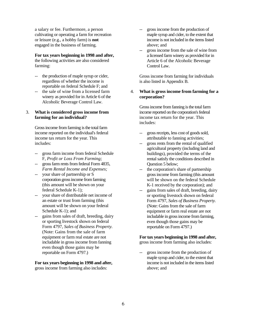a salary or fee. Furthermore, a person cultivating or operating a farm for recreation or leisure (e.g., a hobby farm) is **not**  engaged in the business of farming.

#### **For tax years beginning in 1998 and after,**

the following activities are also considered farming:

- -- the production of maple syrup or cider, regardless of whether the income is reportable on federal Schedule F; and
- -- the sale of wine from a licensed farm winery as provided for in Article 6 of the Alcoholic Beverage Control Law.

#### 3. **What is considered gross income from farming for an individual?**

Gross income from farming is the total farm income reported on the individual's federal income tax return for the year. This includes:

- -- gross farm income from federal Schedule F, *Profit or Loss From Farming;*
- -- gross farm rents from federal Form 4835, *Farm Rental Income and Expenses;*
- -- your share of partnership or S corporation gross income from farming (this amount will be shown on your federal Schedule K-1);
- your share of distributable net income of an estate or trust from farming (this amount will be shown on your federal Schedule K-1); and
- -- gains from sales of draft, breeding, dairy or sporting livestock shown on federal Form 4797, *Sales of Business Property.*  (Note: Gains from the sale of farm equipment or farm real estate are not includable in gross income from fanning even though those gains may be reportable on Form 4797.)

#### **For tax years beginning in 1998 and after,**

gross income from farming also includes:

- gross income from the production of maple syrup and cider, to the extent that income is not included in the items listed above; and
- gross income from the sale of wine from a licensed farm winery as provided for in Article 6 of the Alcoholic Beverage Control Law.

Gross income from farming for individuals is also listed in Appendix B.

#### 4. **What is gross income from farming for a corporation?**

Gross income from fanning is the total farm income reported on the corporation's federal income tax return for the year. This includes:

- -- gross receipts, less cost of goods sold, attributable to fanning activities;
- -- gross rents from the rental of qualified agricultural property (including land and buildings), provided the terms of the rental satisfy the conditions described in Question 5 below;
- -- the corporation's share of partnership gross income from farming (this amount will be shown on the federal Schedule K-1 received by the corporation); and
- -- gains from sales of draft, breeding, dairy or sporting livestock shown on federal Form 4797, *Sales of Business Property.*  (Note: Gains from the sale of farm equipment or farm real estate are not includable in gross income from farming, even though those gains may be reportable on Form 4797.)

#### **For tax years beginning in 1998 and after,**

gross income from farming also includes:

gross income from the production of maple syrup and cider, to the extent that income is not included in the items listed above; and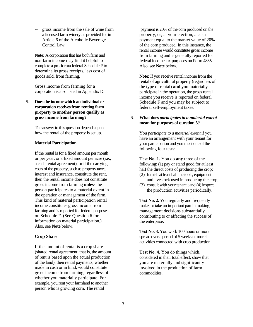gross income from the sale of wine from a licensed farm winery as provided for in Article 6 of the Alcoholic Beverage Control Law.

**Note:** A corporation that has both farm and non-farm income may find it helpful to complete a pro-forma federal Schedule F to determine its gross receipts, less cost of goods sold, from farming.

Gross income from farming for a corporation is also listed in Appendix D.

5. **Does the income which an individual or corporation receives from renting farm property to another person qualify as gross income from farming?**

> The answer to this question depends upon how the rental of the property is set up.

#### **Material Participation**

If the rental is for a fixed amount per month or per year, or a fixed amount per acre (i.e., a cash rental agreement), or if the carrying costs of the property, such as property taxes, interest and insurance, constitute the rent, then the rental income does not constitute gross income from farming **unless** the person participates to a material extent in the operation or management of the farm. This kind of material participation rental income constitutes gross income from farming and is reported for federal purposes on Schedule F. (See Question 6 for information on material participation.) Also, see **Note** below.

#### **Crop Share**

If the amount of rental is a crop share (shared rental agreement; that is, the amount of rent is based upon the actual production of the land), then rental payments, whether made in cash or in kind, would constitute gross income from farming, regardless of whether you materially participate. For example, you rent your farmland to another person who is growing corn. The rental

 payment is 20% of the corn produced on the property, or, at your election, a cash payment equal to the market value of 20% of the corn produced. In this instance, the rental income would constitute gross income from farming and is generally reported for federal income tax purposes on Form 4835. Also, see **Note** below.

**Note:** If you receive rental income from the rental of agricultural property (regardless of the type of rental) **and** you materially participate in the operation, the gross rental income you receive is reported on federal Schedule F and you may be subject to federal self-employment taxes.

#### 6. **What does** *participates to a material extent*  **mean for purposes of question 5?**

You *participate to a material extent* if you have an arrangement with your tenant for your participation and you meet one of the following four tests:

**Test No. 1.** You do **any** three of the following: (1) pay or stand good for at least half the direct costs of producing the crop;

- (2) furnish at least half the tools, equipment and livestock used in producing the crop;
- (3) consult with your tenant ; and (4) inspect the production activities periodically.

**Test No. 2.** You regularly and frequently make, or take an important part in making, management decisions substantially contributing to or affecting the success of the enterprise.

**Test No. 3.** You work 100 hours or more spread over a period of 5 weeks or more in activities connected with crop production.

**Test No. 4.** You do things which, considered in their total effect, show that you are materially and significantly involved in the production of farm commodities.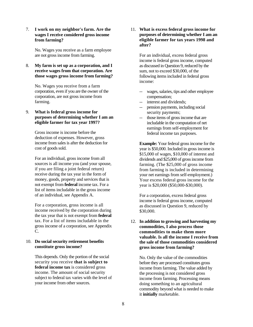7. **I work on my neighbor's farm. Are the wages I receive considered gross income from farming?**

> No. Wages you receive as a farm employee are not gross income from farming.

8. **My farm is set up as a corporation, and I receive wages from that corporation. Are those wages gross income from farming?**

No. Wages you receive from a farm corporation, even if you are the owner of the corporation, are not gross income from farming.

9. **What is federal gross income for purposes of determining whether I am an eligible farmer for tax year 1997?**

> Gross income is income before the deduction of expenses. However, gross income from sales is after the deduction for cost of goods sold.

For an individual, gross income from all sources is all income you (and your spouse, if you are filing a joint federal return) receive during the tax year in the form of money, goods, property and services that is not exempt from **federal** income tax. For a list of items includable in the gross income of an individual, see Appendix A.

For a corporation, gross income is all income received by the corporation during the tax year that is not exempt from **federal**  tax. For a list of items includable in the gross income of a corporation, see Appendix C.

#### 10. **Do social security retirement benefits constitute gross income?**

This depends. Only the portion of the social security you receive **that is subject to federal income tax** is considered gross income. The amount of social security subject to federal tax varies with the level of your income from other sources.

11. **What is excess federal gross income for purposes of determining whether I am an eligible farmer for tax years 1998 and after?**

For an individual, excess federal gross income is federal gross income, computed as discussed in Question 9, reduced by the sum, not to exceed \$30,000, of the following items included in federal gross income:

- wages, salaries, tips and other employee compensation;
- -- interest and dividends;
- -- pension payments, including social security payments;
- -- those items of gross income that are includable in the computation of net earnings from self-employment for federal income tax purposes.

**Example:** Your federal gross income for the year is \$50,000. Included in gross income is \$15,000 of wages, \$10,000 of interest and dividends and \$25,000 of gross income from farming. (The \$25,000 of gross income from farming is included in determining your net earnings from self-employment.) Your excess federal gross income for the year is \$20,000 (\$50,000-\$30,000).

For a corporation, excess federal gross income is federal gross income, computed as discussed in Question 9, reduced by \$30,000.

#### 12. **In addition to growing and harvesting my commodities, I also process those commodities to make them more valuable. Is all the income I receive from the sale of those commodities considered gross income from farming?**

No. Only the value of the commodities before they are processed constitutes gross income from farming. The value added by the processing is not considered gross income from farming. Processing means doing something to an agricultural commodity beyond what is needed to make it **initially** marketable.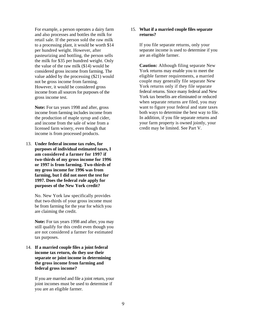For example, a person operates a dairy farm and also processes and bottles the milk for retail sale. If the person sold the raw milk to a processing plant, it would be worth \$14 per hundred weight. However, after pasteurizing and bottling, the person sells the milk for \$35 per hundred weight. Only the value of the raw milk (\$14) would be considered gross income from farming. The value added by the processing (\$21) would not be gross income from farming. However, it would be considered gross income from all sources for purposes of the gross income test.

**Note:** For tax years 1998 and after, gross income from farming includes income from the production of maple syrup and cider, and income from the sale of wine from a licensed farm winery, even though that income is from processed products.

13. **Under federal income tax rules, for purposes of individual estimated taxes, I am considered a farmer for 1997 if two-thirds of my gross income for 1996 or 1997 is from farming. Two-thirds of my gross income for 1996 was from farming, but I did not meet the test for 1997. Does the federal rule apply for purposes of the New York credit?**

No. New York law specifically provides that two-thirds of your gross income must be from farming for the year for which you are claiming the credit.

**Note:** For tax years 1998 and after, you may still qualify for this credit even though you are not considered a farmer for estimated tax purposes.

14. **If a married couple files a joint federal income tax return, do they use their separate or joint income in determining the gross income from farming and federal gross income?**

> If you are married and file a joint return, your joint incomes must be used to determine if you are an eligible farmer.

#### 15. **What if a married couple files separate returns?**

If you file separate returns, only your separate income is used to determine if you are an eligible farmer.

**Caution:** Although filing separate New York returns may enable you to meet the eligible farmer requirements, a married couple may generally file separate New York returns only if they file separate federal returns. Since many federal and New York tax benefits are eliminated or reduced when separate returns are filed, you may want to figure your federal and state taxes both ways to determine the best way to file. In addition, if you file separate returns and your farm property is owned jointly, your credit may be limited. See Part V.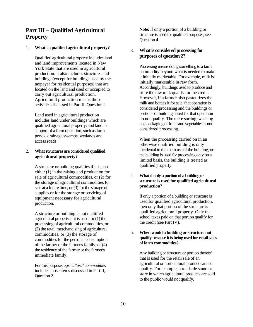## **Part III – Qualified Agricultural Property**

#### 1. **What is qualified agricultural property?**

Qualified agricultural property includes land and land improvements located in New York State that are used in agricultural production. It also includes structures and buildings (except for buildings used by the taxpayer for residential purposes) that are located on the land and used or occupied to carry out agricultural production. Agricultural production means those activities discussed in Part II**,** Question 2.

Land used in agricultural production includes land under buildings which are qualified agricultural property, and land in support of a farm operation, such as farm ponds, drainage swamps, wetlands and access roads.

#### 2. **What structures are considered qualified agricultural property?**

A structure or building qualifies if it is used either (1) in the raising and production for sale of agricultural commodities, or (2) for the storage of agricultural commodities for sale at a future time, or (3) for the storage of supplies or for the storage or servicing of equipment necessary for agricultural production.

A structure or building is not qualified agricultural property if it is used for (1) the processing of agricultural commodities, or (2) the retail merchandising of agricultural commodities, or (3) the storage of commodities for the personal consumption of the farmer or the farmer's family, or (4) the residence of the farmer or the farmer's immediate family.

For this purpose, *agricultural commodities*  includes those items discussed in Part II, Question 2.

**Note:** If only a portion of a building or structure is used for qualified purposes, see Question 4.

#### 3. **What is considered processing for purposes of question 2?**

Processing means doing something to a farm commodity beyond what is needed to make it initially marketable. For example, milk is initially marketable in raw form. Accordingly, buildings used to produce and store the raw milk qualify for the credit. However, if a farmer also pasteurizes the milk and bottles it for sale, that operation is considered processing and the buildings or portions of buildings used for that operation do not qualify. The mere sorting, washing and packaging of fruits and vegetables is not considered processing.

When the processing carried on in an otherwise qualified building is only incidental to the main use of the building, or the building is used for processing only on a limited basis, the building is treated as qualified property.

#### 4. **What if only a portion of a building or structure is used for qualified agricultural production?**

If only a portion of a building or structure is used for qualified agricultural production, then only that portion of the structure is qualified agricultural property. Only the school taxes paid on that portion qualify for the credit (see Part IV).

#### 5. **When would a building or structure not qualify because it is being used for retail sales of farm commodities?**

Any building or structure or portion thereof that is used for the retail sale of an agricultural or horticultural product cannot qualify. For example, a roadside stand or store in which agricultural products are sold to the public would not qualify.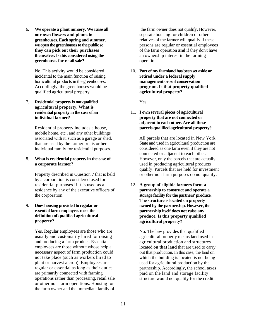6. **We operate a plant nursery. We raise all our own flowers and plants in greenhouses. Each spring and summer, we open the greenhouses to the public so they can pick out their purchases themselves. Is this considered using the greenhouses for retail sale?**

> No. This activity would be considered incidental to the main function of raising horticultural products in the greenhouses. Accordingly, the greenhouses would be qualified agricultural property.

#### 7. **Residential property is not qualified agricultural property. What is residential property in the case of an individual farmer?**

Residential property includes a house, mobile home, etc., and any other buildings associated with it, such as a garage or shed, that are used by the farmer or his or her individual family for residential purposes.

#### 8. **What is residential property in the case of a corporate farmer?**

Property described in Question 7 that is held by a corporation is considered used for residential purposes if it is used as a residence by any of the executive officers of the corporation.

#### 9. **Does housing provided to regular or essential farm employees meet the definition of qualified agricultural property?**

Yes. Regular employees are those who are usually and customarily hired for raising and producing a farm product. Essential employees are those without whose help a necessary aspect of farm production could not take place (such as workers hired to plant or harvest a crop). Employees are regular or essential as long as their duties are primarily connected with farming operations rather than processing, retail sale or other non-farm operations. Housing for the farm owner and the immediate family of

 the farm owner does not qualify. However, separate housing for children or other relatives of the farmer will qualify if these persons are regular or essential employees of the farm operation **and** if they don't have an ownership interest in the farming operation.

10. **Part of my farmland has been set aside or retired under a federal supply management or soil conservation program. Is that property qualified agricultural property?**

Yes.

#### 11. **I own several pieces of agricultural property that are not connected or adjacent to each other. Are all these parcels qualified agricultural property?**

All parcels that are located in New York State and used in agricultural production are considered as one farm even if they are not connected or adjacent to each other. However, only the parcels that are actually used in producing agricultural products qualify. Parcels that are held for investment or other non-farm purposes do not qualify.

12. **A group of eligible farmers form a partnership to construct and operate a storage facility for the partners' produce. The structure is located on property owned by the partnership. However, the partnership itself does not raise any produce. Is this property qualified agricultural property?**

> No. The law provides that qualified agricultural property means land used in agricultural production and structures located **on that land** that are used to carry out that production. In this case, the land on which the building is located is not being used for agricultural production by the partnership. Accordingly, the school taxes paid on the land and storage facility structure would not qualify for the credit.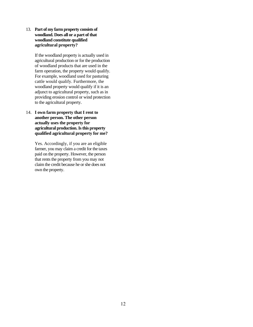13. **Part of my farm property consists of woodland. Does all or a part of that woodland constitute qualified agricultural property?**

> If the woodland property is actually used in agricultural production or for the production of woodland products that are used in the farm operation, the property would qualify. For example, woodland used for pasturing cattle would qualify. Furthermore, the woodland property would qualify if it is an adjunct to agricultural property, such as in providing erosion control or wind protection to the agricultural property.

14. **I own farm property that I rent to another person. The other person actually uses the property for agricultural production. Is this property qualified agricultural property for me?**

> Yes. Accordingly, if you are an eligible farmer, you may claim a credit for the taxes paid on the property. However, the person that rents the property from you may not claim the credit because he or she does not own the property.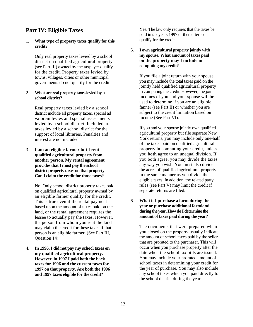## **Part IV: Eligible Taxes**

#### 1. **What type of property taxes qualify for this credit?**

Only real property taxes levied by a school district on qualified agricultural property (see Part III) **owned** by the taxpayer qualify for the credit. Property taxes levied by towns, villages, cities or other municipal governments do not qualify for the credit.

#### 2. **What are real property taxes levied by a school district?**

Real property taxes levied by a school district include all property taxes, special ad valorem levies and special assessments levied by a school district. Included are taxes levied by a school district for the support of local libraries. Penalties and interest are not included.

3. **I am an eligible farmer but I rent qualified agricultural property from another person. My rental agreement provides that I must pay the school district property taxes on that property. Can I claim the credit for those taxes?**

> No. Only school district property taxes paid on qualified agricultural property **owned** by an eligible farmer qualify for the credit. This is true even if the rental payment is based upon the amount of taxes paid on the land, or the rental agreement requires the lessee to actually pay the taxes. However, the person from whom you rent the land may claim the credit for these taxes if that person is an eligible farmer. (See Part III, Question 14).

4. **In 1996, I did not pay my school taxes on my qualified agricultural property. However, in 1997 I paid both the back taxes for 1996 and the current taxes for 1997 on that property. Are both the 1996 and 1997 taxes eligible for the credit?** 

Yes. The law only requires that the taxes be paid in tax years 1997 or thereafter to qualify for the credit.

#### 5. **I own agricultural property jointly with my spouse. What amount of taxes paid on the property may I include in computing my credit?**

If you file a joint return with your spouse, you may include the total taxes paid on the jointly held qualified agricultural property in computing the credit. However, the joint incomes of you and your spouse will be used to determine if you are an eligible fanner (see Part II) or whether you are subject to the credit limitation based on income (See Part VI).

If you and your spouse jointly own qualified agricultural property but file separate New York returns, you may include only one-half of the taxes paid on qualified agricultural property in computing your credit, unless you **both** agree to an unequal division. If you both agree, you may divide the taxes any way you wish. You must also divide the acres of qualified agricultural property in the same manner as you divide the eligible taxes. In addition, the related party rules (see Part V) may limit the credit if separate returns are filed.

#### 6. **What if I purchase a farm during the year or purchase additional farmland during the year. How do I determine the amount of taxes paid during the year?**

The documents that were prepared when you closed on the property usually indicate the amount of school taxes paid by the seller that are prorated to the purchaser. This will occur when you purchase property after the date when the school tax bills are issued. You may include your prorated amount of school taxes in determining your credit for the year of purchase. You may also include any school taxes which you paid directly to the school district during the year.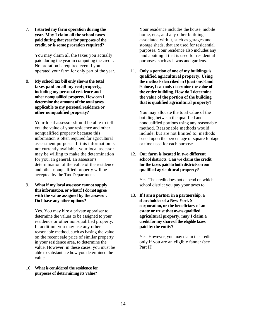7. **I started my farm operation during the year. May I claim all the school taxes paid during that year for purposes of the credit, or is some proration required?**

> You may claim all the taxes you actually paid during the year in computing the credit. No proration is required even if you operated your farm for only part of the year.

8. **My school tax bill only shows the total taxes paid on all my real property, including my personal residence and other nonqualified property. How can I determine the amount of the total taxes applicable to my personal residence or other nonqualified property?**

> Your local assessor should be able to tell you the value of your residence and other nonqualified property because this information is often required for agricultural assessment purposes. If this information is not currently available, your local assessor may be willing to make the determination for you. In general, an assessor's determination of the value of the residence and other nonqualified property will be accepted by the Tax Department.

9. **What if my local assessor cannot supply this information, or what if I do not agree with the value assigned by the assessor. Do I have any other options?**

> Yes. You may hire a private appraiser to determine the values to be assigned to your residence or other non-qualified property. In addition, you may use any other reasonable method, such as basing the value on the recent sale price of similar property in your residence area, to determine the value. However, in these cases, you must be able to substantiate how you determined the value.

10. **What is considered the residence for purposes of determining its value?**

Your residence includes the house, mobile home, etc., and any other buildings associated with it, such as garages and storage sheds, that are used for residential purposes. Your residence also includes any land abutting it that is used for residential purposes, such as lawns and gardens.

11. **Only a portion of one of my buildings is qualified agricultural property. Using the methods described in Questions 8 and 9 above, I can only determine the value of the entire building. How do I determine the value of the portion of the building that is qualified agricultural property?**

You may allocate the total value of the building between the qualified and nonqualified portions using any reasonable method. Reasonable methods would include, but are not limited to, methods based upon the percentage of square footage or time used for each purpose.

#### 12. **Our farm is located in two different school districts. Can we claim the credit for the taxes paid to both districts on our qualified agricultural property?**

Yes. The credit does not depend on which school district you pay your taxes to.

13. **If I am a partner in a partnership, a shareholder of a New York S corporation, or the beneficiary of an estate or trust that owns qualified agricultural property, may I claim a credit for my share of the eligible taxes paid by the entity?**

> Yes. However, you may claim the credit only if you are an eligible fanner (see Part II).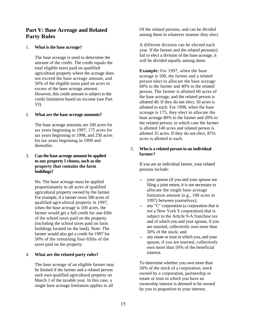### **Part V: Base Acreage and Related Party Rules**

#### 1. **What is the base acreage?**

The base acreage is used to determine the amount of the credit. The credit equals the total eligible taxes paid on qualified agricultural property where the acreage does not exceed the base acreage amount, and 50% of the eligible taxes paid on acres in excess of the base acreage amount. However, this credit amount is subject to the credit limitation based on income (see Part VI).

#### 2. **What are the base acreage amounts?**

The base acreage amounts are 100 acres for tax years beginning in 1997, 175 acres for tax years beginning in 1998, and 250 acres for tax years beginning in 1999 and thereafter.

#### 3. **Can the base acreage amount be applied to any property I choose, such as the property that contains the farm buildings?**

No. The base acreage must be applied proportionately to all acres of qualified agricultural property owned by the farmer. For example, if a farmer owns 500 acres of qualified agricultural property in 1997, when the base acreage is 100 acres, the farmer would get a full credit for one-fifth of the school taxes paid on the property (including the school taxes paid on farm buildings located on the land). Note: The farmer would also get a credit for 1997 for 50% of the remaining four-fifths of the taxes paid on the property.

#### 4. **What are the related party rules?**

The base acreage of an eligible farmer may be limited if the farmer and a related person each own qualified agricultural property on March 1 of the taxable year. In this case, a single base acreage limitation applies to all

Of the related persons, and can be divided among them in whatever manner they elect.

A different division can be elected each year. If the farmer and the related person(s) fail to elect a division of the base acreage, it will be divided equally among them.

**Example:** For 1997, when the base acreage is 100, the farmer and a related person elect to allocate the base acreage 60% to the farmer and 40% to the related person. The farmer is allotted 60 acres of the base acreage, and the related person is allotted 40. If they do not elect, 50 acres is allotted to each. For 1998, when the base acreage is 175, they elect to allocate the base acreage 80% to the farmer and 20% to the related person, in which case the farmer is allotted 140 acres and related person is allotted 35 acres. If they do not elect, 87½ acres is allotted to each.

#### 5. **Who is a related person to an individual farmer?**

If you are an individual farmer, your related persons include:

- -- your spouse (if you and your spouse are filing a joint return, it is not necessary to allocate the single base acreage limitation amount (e.g., 100 acres in 1997) between yourselves);
- -- any "C" corporation (a corporation that is not a New York S corporation) that is subject to the Article 9-A franchise tax and of which you and your spouse, if you are married, collectively own more than 50% of the stock; and
- -- any estate or trust in which you, and your spouse, if you are married, collectively own more than 50% of the beneficial interest.

To determine whether you own more than 50% of the stock of a corporation, stock owned by a corporation, partnership or estate or trust in which you have an ownership interest is deemed to be owned by you in proportion to your interest.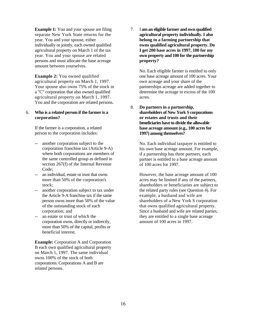**Example 1:** You and your spouse are filing separate New York State returns for the year. You and your spouse, either individually or jointly, each owned qualified agricultural property on March 1 of the tax year. You and your spouse are related persons and must allocate the base acreage amount between yourselves.

**Example 2:** You owned qualified agricultural property on March 1, 1997. Your spouse also owns 75% of the stock in a "C" corporation that also owned qualified agricultural property on March 1, 1997. You and the corporation are related persons.

#### 6. **Who is a related person if the farmer is a corporation?**

If the farmer is a corporation, a related person to the corporation includes:

- another corporation subject to the corporation franchise tax (Article 9-A) where both corporations are members of the same controlled group as defined in section 267(f) of the Internal Revenue Code;
- an individual, estate or trust that owns more than 50% of the corporation's stock;
- -- another corporation subject to tax under the Article 9-A franchise tax if the same person owns more than 50% of the value of the outstanding stock of each corporation; and
- -- an estate or trust of which the corporation owns, directly or indirectly, more than 50% of the capital, profits or beneficial interest.

**Example:** Corporation A and Corporation B each own qualified agricultural property on March 1, 1997. The same individual owns 100% of the stock of both corporations. Corporations A and B are related persons.

7. I **am an eligible farmer and own qualified agricultural property individually. I also belong to a farming partnership that owns qualified agricultural property. Do I get 200 base acres in 1997, 100 for my own property and 100 for the partnership property?**

> No. Each eligible farmer is entitled to only one base acreage amount of 100 acres. Your own acreage and your share of the partnerships acreage are added together to determine the acreage in excess of the 100 acres.

8. **Do partners in a partnership, shareholders of New York S corporations or estates and trusts and their beneficiaries have to divide the allowable base acreage amount (e.g., 100 acres for 1997) among themselves?**

> No. Each individual taxpayer is entitled to his own base acreage amount. For example, if a partnership has three partners, each partner is entitled to a base acreage amount of 100 acres for 1997.

> However, the base acreage amount of 100 acres may be limited if any of the partners, shareholders or beneficiaries are subject to the related party rules (see Question 4). For example, a husband and wife are shareholders of a New York S corporation that owns qualified agricultural property. Since a husband and wife are related parties, they are entitled to a single base acreage amount of 100 acres in 1997.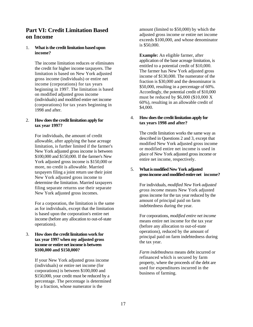## **Part VI: Credit Limitation Based on Income**

#### 1. **What is the credit limitation based upon income?**

The income limitation reduces or eliminates the credit for higher income taxpayers. The limitation is based on New York adjusted gross income (individuals) or entire net income (corporations) for tax years beginning in 1997. The limitation is based on modified adjusted gross income (individuals) and modified entire net income (corporations) for tax years beginning in 1998 and after.

#### 2. **How does the credit limitation apply for tax year 1997?**

For individuals, the amount of credit allowable, after applying the base acreage limitation, is further limited if the farmer's New York adjusted gross income is between \$100,000 and \$150,000. If the farmer's New York adjusted gross income is \$150,000 or more, no credit is allowable. Married taxpayers filing a joint return use their joint New York adjusted gross income to determine the limitation. Married taxpayers filing separate returns use their separate New York adjusted gross incomes.

For a corporation, the limitation is the same as for individuals, except that the limitation is based upon the corporation's entire net income (before any allocation to out-of-state operations).

#### 3. **How does the credit limitation work for tax year 1997 when my adjusted gross income or entire net income is between \$100,000 and \$150,000?**

If your New York adjusted gross income (individuals) or entire net income (for corporations) is between \$100,000 and \$150,000, your credit must be reduced by a percentage. The percentage is determined by a fraction, whose numerator is the

amount (limited to \$50,000) by which the adjusted gross income or entire net income exceeds \$100,000, and whose denominator is \$50,000.

**Example:** An eligible farmer, after application of the base acreage limitation, is entitled to a potential credit of \$10,000. The farmer has New York adjusted gross income of \$130,000. The numerator of the fraction is \$30,000 and the denominator is \$50,000, resulting in a percentage of 60%. Accordingly, the potential credit of \$10,000 must be reduced by \$6,000 (\$10,000 X 60%), resulting in an allowable credit of \$4,000.

#### 4. **How does the credit limitation apply for tax years 1998 and after?**

The credit limitation works the same way as described in Questions 2 and 3, except that modified New York adjusted gross income or modified entire net income is used in place of New York adjusted gross income or entire net income, respectively.

#### 5. **What is modified New York adjusted gross income and modified entire net income?**

For individuals, *modified New York adjusted gross income* means New York adjusted gross income for the tax year reduced by the amount of principal paid on farm indebtedness during the year.

For corporations, *modified entire net income*  means entire net income for the tax year (before any allocation to out-of-state operations), reduced by the amount of principal paid on farm indebtedness during the tax year.

*Farm indebtedness* means debt incurred or refinanced which is secured by farm property, where the proceeds of the debt are used for expenditures incurred in the business of farming.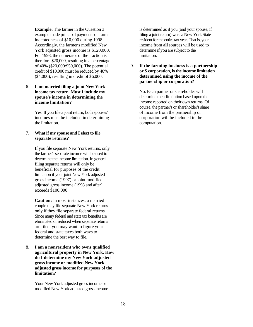**Example:** The farmer in the Question 3 example made principal payments on farm indebtedness of \$10,000 during 1998. Accordingly, the farmer's modified New York adjusted gross income is \$120,000. For 1998, the numerator of the fraction is therefore \$20,000, resulting in a percentage of 40% (\$20,000/\$50,000). The potential credit of \$10,000 must be reduced by 40% (\$4,000), resulting in credit of \$6,000.

#### 6. **I am married filing a joint New York income tax return. Must I include my spouse's income in determining the income limitation?**

Yes. If you file a joint return, both spouses' incomes must be included in determining the limitation.

#### 7. **What if my spouse and I elect to file separate returns?**

If you file separate New York returns, only the farmer's separate income will be used to determine the income limitation. In general, filing separate returns will only be beneficial for purposes of the credit limitation if your joint New York adjusted gross income (1997) or joint modified adjusted gross income (1998 and after) exceeds \$100,000.

**Caution:** In most instances, a married couple may file separate New York returns only if they file separate federal returns. Since many federal and state tax benefits are eliminated or reduced when separate returns are filed, you may want to figure your federal and state taxes both ways to determine the best way to file.

8. **I am a nonresident who owns qualified agricultural property in New York. How do I determine my New York adjusted gross income or modified New York adjusted gross income for purposes of the limitation?**

Your New York adjusted gross income or modified New York adjusted gross income is determined as if you (and your spouse, if filing a joint return) were a New York State resident for the entire tax year. That is, your income from **all** sources will be used to determine if you are subject to the limitation.

#### 9. **If the farming business is a partnership or S corporation, is the income limitation determined using the income of the partnership or corporation?**

No. Each partner or shareholder will determine their limitation based upon the income reported on their own returns. Of course, the partner's or shareholder's share of income from the partnership or corporation will be included in the computation.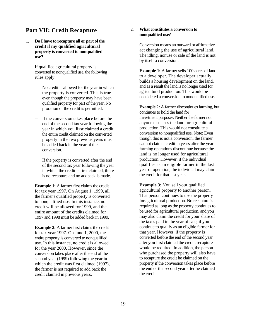## **Part VII: Credit Recapture**

1. **Do I have to recapture all or part of the credit if my qualified agricultural property is converted to nonqualified use?**

> If qualified agricultural property is converted to nonqualified use, the following rules apply:

- -- No credit is allowed for the year in which the property is converted. This is true even though the property may have been qualified property for part of the year. No proration of the credit is permitted.
- -- If the conversion takes place before the end of the second tax year following the year in which you **first** claimed a credit, the entire credit claimed on the converted property in the two previous years must be added back in the year of the conversion.

If the property is converted after the end of the second tax year following the year in which the credit is first claimed, there is no recapture and no addback is made.

**Example 1:** A farmer first claims the credit for tax year 1997. On August 1, 1999, all the farmer's qualified property is converted to nonqualified use. In this instance, no credit will be allowed for 1999, and the entire amount of the credits claimed for 1997 and 1998 must be added back in 1999.

**Example 2:** A farmer first claims the credit for tax year 1997. On June 1, 2000, the entire property is converted to nonqualified use. In this instance, no credit is allowed for the year 2000. However, since the conversion takes place after the end of the second year (1999) following the year in which the credit was first claimed (1997), the farmer is not required to add back the credit claimed in previous years.

#### 2. **What constitutes a conversion to nonqualified use?**

Conversion means an outward or affirmative act changing the use of agricultural land. The idling, nonuse or sale of the land is not by itself a conversion.

**Example 1:** A farmer sells 100 acres of land to a developer. The developer actually builds a housing development on the land, and as a result the land is no longer used for agricultural production. This would be considered a conversion to nonqualified use.

**Example 2:** A farmer discontinues farming, but continues to hold the land for investment purposes. Neither the farmer nor anyone else uses the land for agricultural production. This would not constitute a conversion to nonqualified use. Note: Even though this is not a conversion, the farmer cannot claim a credit in years after the year farming operations discontinue because the land is no longer used for agricultural production. However, if the individual qualifies as an eligible farmer in the last year of operation, the individual may claim the credit for that last year.

**Example 3:** You sell your qualified agricultural property to another person. That person continues to use the property for agricultural production. No recapture is required as long as the property continues to be used for agricultural production, and you may also claim the credit for your share of the taxes paid in the year of sale, if you continue to qualify as an eligible farmer for that year. However, if the property is converted before the end of the second year after **you** first claimed the credit, recapture would be required. In addition, the person who purchased the property will also have to recapture the credit he claimed on the property if the conversion takes place before the end of the second year after he claimed the credit.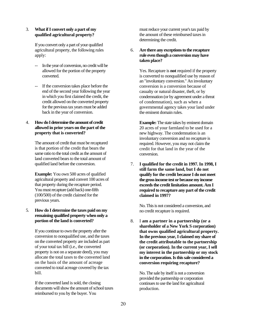#### 3. **What if I convert only a part of my qualified agricultural property?**

If you convert only a part of your qualified agricultural property, the following rules apply:

- -- In the year of conversion, no credit will be allowed for the portion of the property converted.
- -- If the conversion takes place before the end of the second year following the year in which you first claimed the credit, the credit allowed on the converted property for the previous tax years must be added back in the year of conversion.

#### 4. **How do I determine the amount of credit allowed in prior years on the part of the property that is converted?**

The amount of credit that must be recaptured is that portion of the credit that bears the same ratio to the total credit as the amount of land converted bears to the total amount of qualified land before the conversion.

**Example:** You own 500 acres of qualified agricultural property and convert 100 acres of that property during the recapture period. You must recapture (add back) one-fifth (100/500) of the credit claimed for the previous years.

#### 5. **How do I determine the taxes paid on my remaining qualified property when only a portion of the land is converted?**

If you continue to own the property after the conversion to nonqualified use, and the taxes on the converted property are included as part of your total tax bill (i.e., the converted property is not on a separate deed), you may allocate the total taxes to the converted land on the basis of the amount of acreage converted to total acreage covered by the tax bill.

If the converted land is sold, the closing documents will show the amount of school taxes reimbursed to you by the buyer. You

must reduce your current year's tax paid by the amount of these reimbursed taxes in determining the credit.

6. **Are there any exceptions to the recapture rule even though a conversion may have taken place?**

> Yes. Recapture is **not** required if the property is converted to nonqualified use by reason of an "involuntary conversion." An involuntary conversion is a conversion because of casualty or natural disaster, theft, or by condemnation (or by agreement under a threat of condemnation), such as when a governmental agency takes your land under the eminent domain rules.

**Example:** The state takes by eminent domain 20 acres of your farmland to be used for a new highway. The condemnation is an involuntary conversion and no recapture is required. However, you may not claim the credit for that land in the year of the conversion.

7. **I qualified for the credit in 1997. In 1998, I still farm the same land, but I do not qualify for the credit because I do not meet the gross income test or because my income exceeds the credit limitation amount. Am I required to recapture any part of the credit claimed in 1997?**

No. This is not considered a conversion, and no credit recapture is required.

8. I **am a partner in a partnership (or a shareholder of a New York S corporation) that owns qualified agricultural property. In the previous year, I claimed my share of the credit attributable to the partnership (or corporation). In the current year, I sell my interest in the partnership or my stock in the corporation. Is this sale considered a conversion requiring recapture?**

No. The sale by itself is not a conversion provided the partnership or corporation continues to use the land for agricultural production.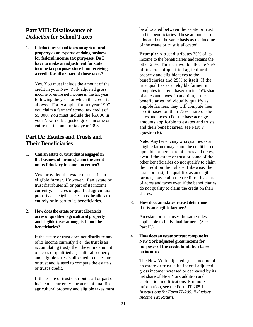## **Part VIII: Disallowance of**  *Deduction* **for School Taxes**

1. **I deduct my school taxes on agricultural property as an expense of doing business for federal income tax purposes. Do I have to make an adjustment for state income tax purposes since I am receiving a credit for all or part of those taxes?**

> Yes. You must include the amount of the credit in your New York adjusted gross income or entire net income in the tax year following the year for which the credit is allowed. For example, for tax year 1997 you claim a farmers' school tax credit of \$5,000. You must include the \$5,000 in your New York adjusted gross income or entire net income for tax year 1998.

## **Part IX: Estates and Trusts and Their Beneficiaries**

1. **Can an estate or trust that is engaged in the business of farming claim the credit on its fiduciary income tax return?**

> Yes, provided the estate or trust is an eligible farmer. However, if an estate or trust distributes all or part of its income currently, its acres of qualified agricultural property and eligible taxes must be allocated entirely or in part to its beneficiaries.

#### 2. **How does the estate or trust allocate its acres of qualified agricultural property and eligible taxes among itself and the beneficiaries?**

If the estate or trust does not distribute any of its income currently (i.e., the trust is an accumulating trust), then the entire amount of acres of qualified agricultural property and eligible taxes is allocated to the estate or trust and is used to compute the estate's or trust's credit.

If the estate or trust distributes all or part of its income currently, the acres of qualified agricultural property and eligible taxes must be allocated between the estate or trust and its beneficiaries. These amounts are allocated on the same basis as the income of the estate or trust is allocated.

**Example:** A trust distributes 75% of its income to the beneficiaries and retains the other 25%. The trust would allocate 75% of its acres of qualified agricultural property and eligible taxes to the beneficiaries and 25% to itself. If the trust qualifies as an eligible farmer, it computes its credit based on its 25% share of acres and taxes. In addition, if the beneficiaries individually qualify as eligible farmers, they will compute their credit based on their 75% share of the acres and taxes. (For the base acreage amounts applicable to estates and trusts and their beneficiaries, see Part V, Question 8).

**Note:** Any beneficiary who qualifies as an eligible farmer may claim the credit based upon his or her share of acres and taxes, even if the estate or trust or some of the other beneficiaries do not qualify to claim the credit on their share. Likewise, the estate or trust, if it qualifies as an eligible farmer, may claim the credit on its share of acres and taxes even if the beneficiaries do not qualify to claim the credit on their shares.

#### 3. **How does an estate or trust determine if it is an eligible farmer?**

An estate or trust uses the same rules applicable to individual farmers. (See Part II.)

#### 4. **How does an estate or trust compute its New York adjusted gross income for purposes of the credit limitation based on income?**

The New York adjusted gross income of an estate or trust is its federal adjusted gross income increased or decreased by its net share of New York addition and subtraction modifications. For more information, see the Form IT-205-I, *Instructions for Form IT-205, Fiduciary Income Tax Return.*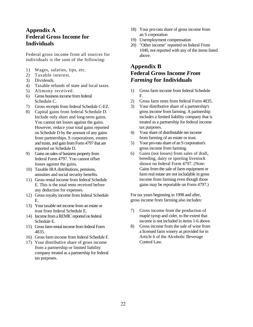## **Appendix A Federal Gross Income for Individuals**

Federal gross income from all sources for individuals is the sum of the following:

- 1) Wages, salaries, tips, etc.
- 2) Taxable interest.
- 3) Dividends.
- 4) Taxable refunds of state and local taxes.
- 5) Alimony received.
- 6) Gross business income from federal Schedule C.
- 7) Gross receipts from federal Schedule C-EZ.
- 8) Capital gains from federal Schedule D. Include only short and long-term gains. You cannot net losses against the gains. However, reduce your total gains reported on Schedule D by the amount of any gains from partnerships, S corporations, estates and trusts, and gain from Form 4797 that are reported on Schedule D.
- 9) Gains on sales of business property from federal Form 4797. You cannot offset losses against the gains.
- 10) Taxable IRA distributions, pensions, annuities and social security benefits.
- 11) Gross rental income from federal Schedule E. This is the total rents received before any deduction for expenses.
- 12) Gross royalty income from federal Schedule E.
- 13) Your taxable net income from an estate or trust from federal Schedule E.
- 14) Income from a REMIC reported on federal Schedule E.
- 15) Gross farm rental income from federal Form 4835.
- 16) Gross farm income from federal Schedule F.
- 17) Your distributive share of gross income from a partnership or limited liability company treated as a partnership for federal tax purposes.
- 18) Your pro-rata share of gross income from an S corporation
- 19) Unemployment compensation
- 20) "Other income" reported on federal From 1040, not reported with any of the items listed above.

## **Appendix B Federal Gross Income** *From Farming* **for Individuals**

- 1) Gross farm income from federal Schedule F.
- 2) Gross farm rents from federal Form 4835.
- 3) Your distributive share of a partnership's gross income from farming. A partnership includes a limited liability company that is treated as a partnership for federal income tax purposes.
- 4) Your share of distributable net income from farming of an estate or trust.
- 5) Your pro-rata share of an S corporation's gross income from farming.
- 6) Gains (not losses) from sales of draft, breeding, dairy or sporting livestock shown on federal Form 4797. (Note: Gains from the sale of farm equipment or farm real estate are not includable in gross income from farming even though those gains may be reportable on Form 4797.)

For tax years beginning in 1998 and after, gross income from farming also includes:

- 7) Gross income from the production of maple syrup and cider, to the extent that income is not included in items 1-6 above.
- 8) Gross income from the sale of wine from a licensed farm winery as provided for in Article 6 of the Alcoholic Beverage Control Law.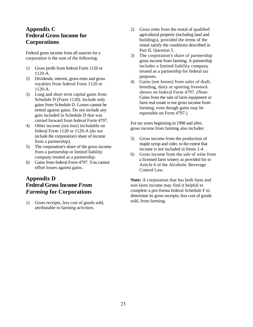## **Appendix C Federal Gross Income for Corporations**

Federal gross income from all sources for a corporation is the sum of the following:

- 1) Gross profit from federal Form 1120 or 1120-A.
- 2) Dividends, interest, gross rents and gross royalties from federal Form 1120 or 1120-A.
- 3) Long and short term capital gains from Schedule D (Form 1120). Include only gains from Schedule D. Losses cannot be netted against gains. Do not include any gain included in Schedule D that was carried forward from federal Form 4797.
- 4) Other income (not loss) includable on federal Form 1120 or 1120-A (do not include the corporation's share of income from a partnership).
- 5) The corporation's share of the gross income from a partnership or limited liability company treated as a partnership.
- 6) Gains from federal Form 4797. You cannot offset losses against gains.

## **Appendix D Federal Gross Income** *From Farming* **for Corporations**

1) Gross receipts, less cost of goods sold, attributable to farming activities.

- 2) Gross rents from the rental of qualified agricultural property (including land and buildings), provided the terms of the rental satisfy the conditions described in Part II, Question 5.
- 3) The corporation's share of partnership gross income from farming. A partnership includes a limited liability company treated as a partnership for federal tax purposes.
- 4) Gains (not losses) from sales of draft, breeding, dairy or sporting livestock shown on federal Form 4797. (Note: Gains from the sale of farm equipment or farm real estate is not gross income from farming, even though gains may be reportable on Form 4797.)

For tax years beginning in 1998 and after, gross income from farming also includes:

- 5) Gross income from the production of maple syrup and cider, to the extent that income is not included in Items 1-4.
- 6) Gross income from the sale of wine from a licensed farm winery as provided for in Article 6 of the Alcoholic Beverage Control Law.

**Note:** A corporation that has both farm and non-farm income may find it helpful to complete a pro-forma federal Schedule F to determine its gross receipts, less cost of goods sold, from farming.